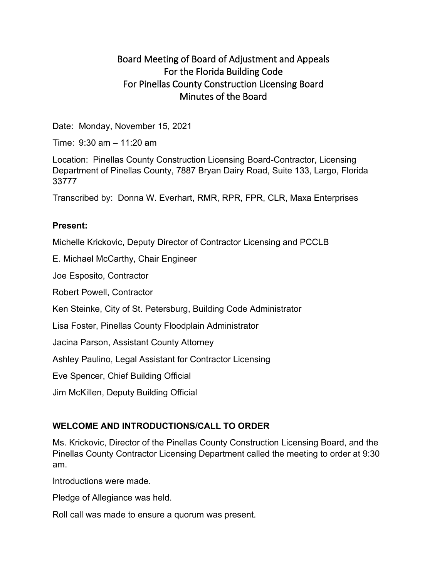# Board Meeting of Board of Adjustment and Appeals For the Florida Building Code For Pinellas County Construction Licensing Board Minutes of the Board

Date: Monday, November 15, 2021

Time: 9:30 am – 11:20 am

Location: Pinellas County Construction Licensing Board-Contractor, Licensing Department of Pinellas County, 7887 Bryan Dairy Road, Suite 133, Largo, Florida 33777

Transcribed by: Donna W. Everhart, RMR, RPR, FPR, CLR, Maxa Enterprises

#### **Present:**

Michelle Krickovic, Deputy Director of Contractor Licensing and PCCLB

E. Michael McCarthy, Chair Engineer

Joe Esposito, Contractor

Robert Powell, Contractor

Ken Steinke, City of St. Petersburg, Building Code Administrator

Lisa Foster, Pinellas County Floodplain Administrator

Jacina Parson, Assistant County Attorney

Ashley Paulino, Legal Assistant for Contractor Licensing

Eve Spencer, Chief Building Official

Jim McKillen, Deputy Building Official

## **WELCOME AND INTRODUCTIONS/CALL TO ORDER**

Ms. Krickovic, Director of the Pinellas County Construction Licensing Board, and the Pinellas County Contractor Licensing Department called the meeting to order at 9:30 am.

Introductions were made.

Pledge of Allegiance was held.

Roll call was made to ensure a quorum was present.